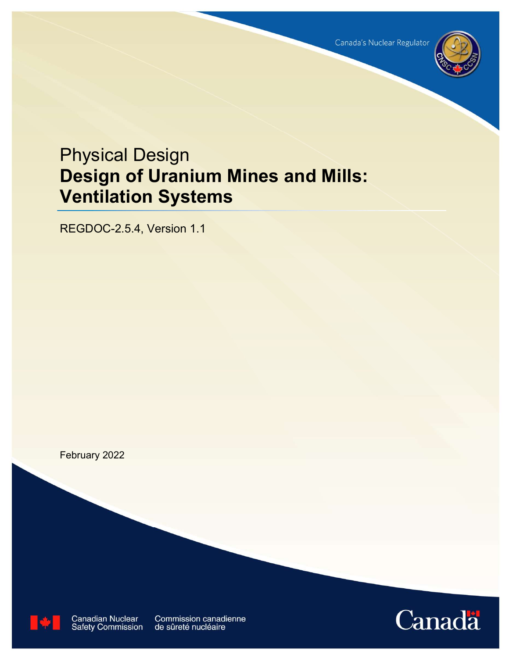

# Physical Design Design of Uranium Mines and Mills: Ventilation Systems

REGDOC-2.5.4, Version 1.1

February 2022



**Canadian Nuclear**<br>Safety Commission

Commission canadienne de sûreté nucléaire

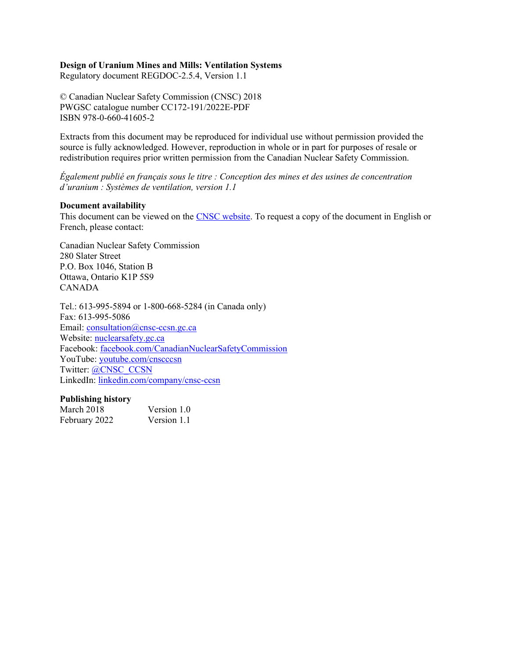#### Design of Uranium Mines and Mills: Ventilation Systems

Regulatory document REGDOC-2.5.4, Version 1.1

© Canadian Nuclear Safety Commission (CNSC) 2018 PWGSC catalogue number CC172-191/2022E-PDF ISBN 978-0-660-41605-2

Extracts from this document may be reproduced for individual use without permission provided the source is fully acknowledged. However, reproduction in whole or in part for purposes of resale or redistribution requires prior written permission from the Canadian Nuclear Safety Commission.

Également publié en français sous le titre : Conception des mines et des usines de concentration d'uranium : Systèmes de ventilation, version 1.1

#### Document availability

This document can be viewed on the CNSC website. To request a copy of the document in English or French, please contact:

Canadian Nuclear Safety Commission 280 Slater Street P.O. Box 1046, Station B Ottawa, Ontario K1P 5S9 CANADA

Tel.: 613-995-5894 or 1-800-668-5284 (in Canada only) Fax: 613-995-5086 Email: consultation@cnsc-ccsn.gc.ca Website: nuclearsafety.gc.ca Facebook: facebook.com/CanadianNuclearSafetyCommission YouTube: youtube.com/cnscccsn Twitter: @CNSC\_CCSN LinkedIn: linkedin.com/company/cnsc-ccsn

#### Publishing history

| March 2018    | Version 1.0 |
|---------------|-------------|
| February 2022 | Version 1.1 |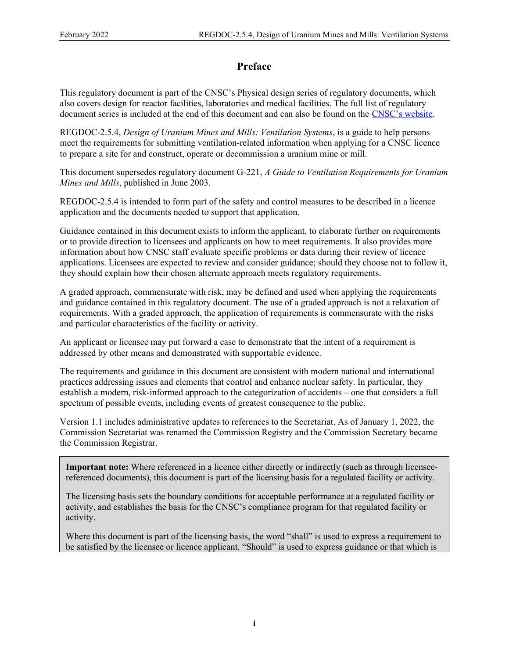## Preface

This regulatory document is part of the CNSC's Physical design series of regulatory documents, which also covers design for reactor facilities, laboratories and medical facilities. The full list of regulatory document series is included at the end of this document and can also be found on the CNSC's website.

REGDOC-2.5.4, Design of Uranium Mines and Mills: Ventilation Systems, is a guide to help persons meet the requirements for submitting ventilation-related information when applying for a CNSC licence to prepare a site for and construct, operate or decommission a uranium mine or mill.

This document supersedes regulatory document G-221, A Guide to Ventilation Requirements for Uranium Mines and Mills, published in June 2003.

REGDOC-2.5.4 is intended to form part of the safety and control measures to be described in a licence application and the documents needed to support that application.

Guidance contained in this document exists to inform the applicant, to elaborate further on requirements or to provide direction to licensees and applicants on how to meet requirements. It also provides more information about how CNSC staff evaluate specific problems or data during their review of licence applications. Licensees are expected to review and consider guidance; should they choose not to follow it, they should explain how their chosen alternate approach meets regulatory requirements.

A graded approach, commensurate with risk, may be defined and used when applying the requirements and guidance contained in this regulatory document. The use of a graded approach is not a relaxation of requirements. With a graded approach, the application of requirements is commensurate with the risks and particular characteristics of the facility or activity.

An applicant or licensee may put forward a case to demonstrate that the intent of a requirement is addressed by other means and demonstrated with supportable evidence.

The requirements and guidance in this document are consistent with modern national and international practices addressing issues and elements that control and enhance nuclear safety. In particular, they establish a modern, risk-informed approach to the categorization of accidents – one that considers a full spectrum of possible events, including events of greatest consequence to the public.

Version 1.1 includes administrative updates to references to the Secretariat. As of January 1, 2022, the Commission Secretariat was renamed the Commission Registry and the Commission Secretary became the Commission Registrar.

Important note: Where referenced in a licence either directly or indirectly (such as through licenseereferenced documents), this document is part of the licensing basis for a regulated facility or activity.

The licensing basis sets the boundary conditions for acceptable performance at a regulated facility or activity, and establishes the basis for the CNSC's compliance program for that regulated facility or activity.

Where this document is part of the licensing basis, the word "shall" is used to express a requirement to be satisfied by the licensee or licence applicant. "Should" is used to express guidance or that which is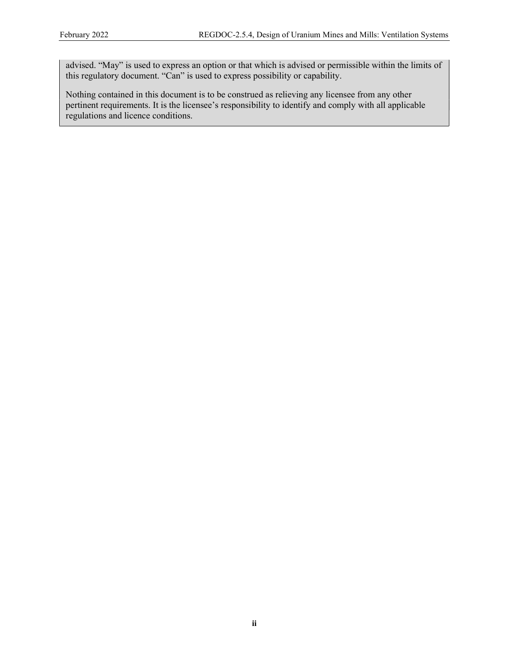advised. "May" is used to express an option or that which is advised or permissible within the limits of this regulatory document. "Can" is used to express possibility or capability.

Nothing contained in this document is to be construed as relieving any licensee from any other pertinent requirements. It is the licensee's responsibility to identify and comply with all applicable regulations and licence conditions.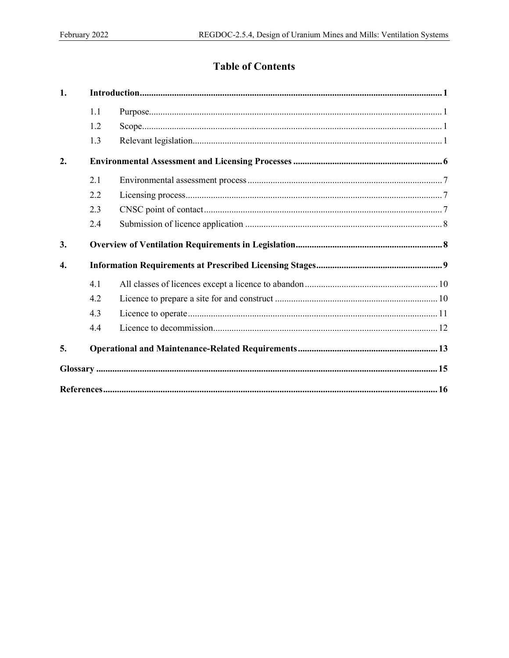# **Table of Contents**

| $\mathbf{1}$ .   |     |  |  |
|------------------|-----|--|--|
|                  | 1.1 |  |  |
|                  | 1.2 |  |  |
|                  | 1.3 |  |  |
| 2.               |     |  |  |
|                  | 2.1 |  |  |
|                  | 2.2 |  |  |
|                  | 2.3 |  |  |
|                  | 2.4 |  |  |
| 3.               |     |  |  |
| $\overline{4}$ . |     |  |  |
|                  | 4.1 |  |  |
|                  | 4.2 |  |  |
|                  | 4.3 |  |  |
|                  | 4.4 |  |  |
| 5.               |     |  |  |
|                  |     |  |  |
|                  |     |  |  |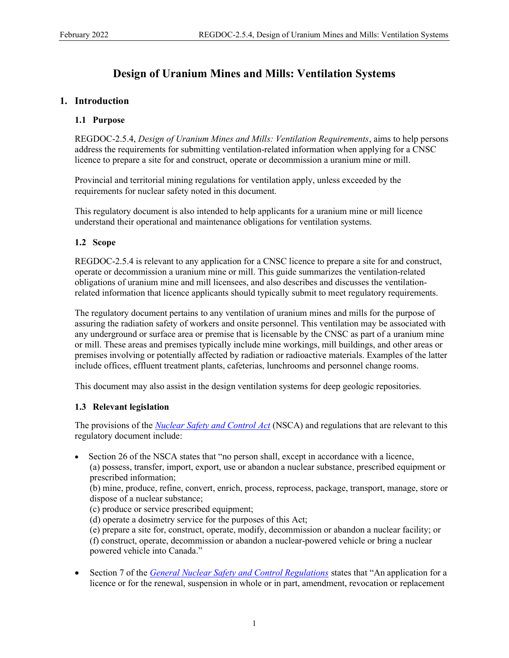# Design of Uranium Mines and Mills: Ventilation Systems

#### 1. Introduction

#### 1.1 Purpose

REGDOC-2.5.4, Design of Uranium Mines and Mills: Ventilation Requirements, aims to help persons address the requirements for submitting ventilation-related information when applying for a CNSC licence to prepare a site for and construct, operate or decommission a uranium mine or mill.

Provincial and territorial mining regulations for ventilation apply, unless exceeded by the requirements for nuclear safety noted in this document.

This regulatory document is also intended to help applicants for a uranium mine or mill licence understand their operational and maintenance obligations for ventilation systems.

#### 1.2 Scope

REGDOC-2.5.4 is relevant to any application for a CNSC licence to prepare a site for and construct, operate or decommission a uranium mine or mill. This guide summarizes the ventilation-related obligations of uranium mine and mill licensees, and also describes and discusses the ventilationrelated information that licence applicants should typically submit to meet regulatory requirements.

The regulatory document pertains to any ventilation of uranium mines and mills for the purpose of assuring the radiation safety of workers and onsite personnel. This ventilation may be associated with any underground or surface area or premise that is licensable by the CNSC as part of a uranium mine or mill. These areas and premises typically include mine workings, mill buildings, and other areas or premises involving or potentially affected by radiation or radioactive materials. Examples of the latter include offices, effluent treatment plants, cafeterias, lunchrooms and personnel change rooms.

This document may also assist in the design ventilation systems for deep geologic repositories.

#### 1.3 Relevant legislation

The provisions of the *Nuclear Safety and Control Act* (NSCA) and regulations that are relevant to this regulatory document include:

 Section 26 of the NSCA states that "no person shall, except in accordance with a licence, (a) possess, transfer, import, export, use or abandon a nuclear substance, prescribed equipment or prescribed information;

(b) mine, produce, refine, convert, enrich, process, reprocess, package, transport, manage, store or dispose of a nuclear substance;

(c) produce or service prescribed equipment;

(d) operate a dosimetry service for the purposes of this Act;

(e) prepare a site for, construct, operate, modify, decommission or abandon a nuclear facility; or (f) construct, operate, decommission or abandon a nuclear-powered vehicle or bring a nuclear powered vehicle into Canada."

Section 7 of the *General Nuclear Safety and Control Regulations* states that "An application for a licence or for the renewal, suspension in whole or in part, amendment, revocation or replacement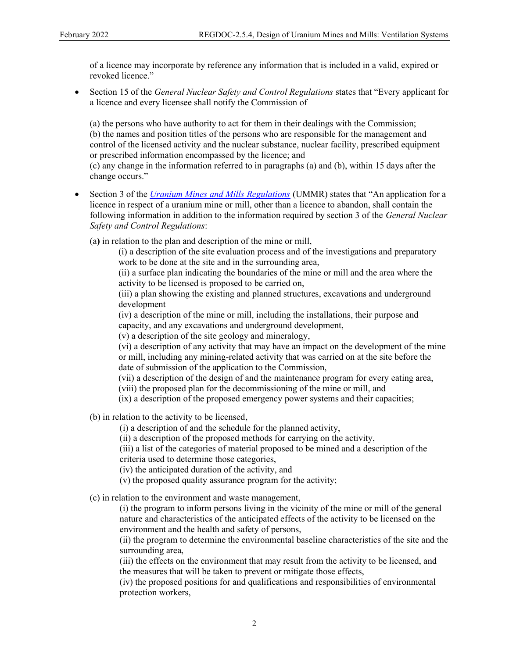of a licence may incorporate by reference any information that is included in a valid, expired or revoked licence."

• Section 15 of the *General Nuclear Safety and Control Regulations* states that "Every applicant for a licence and every licensee shall notify the Commission of

(a) the persons who have authority to act for them in their dealings with the Commission; (b) the names and position titles of the persons who are responsible for the management and control of the licensed activity and the nuclear substance, nuclear facility, prescribed equipment or prescribed information encompassed by the licence; and

(c) any change in the information referred to in paragraphs (a) and (b), within 15 days after the change occurs."

Section 3 of the *Uranium Mines and Mills Regulations* (UMMR) states that "An application for a licence in respect of a uranium mine or mill, other than a licence to abandon, shall contain the following information in addition to the information required by section 3 of the *General Nuclear* Safety and Control Regulations:

(a) in relation to the plan and description of the mine or mill,

(i) a description of the site evaluation process and of the investigations and preparatory work to be done at the site and in the surrounding area,

(ii) a surface plan indicating the boundaries of the mine or mill and the area where the activity to be licensed is proposed to be carried on,

(iii) a plan showing the existing and planned structures, excavations and underground development

(iv) a description of the mine or mill, including the installations, their purpose and capacity, and any excavations and underground development,

(v) a description of the site geology and mineralogy,

(vi) a description of any activity that may have an impact on the development of the mine or mill, including any mining-related activity that was carried on at the site before the date of submission of the application to the Commission,

(vii) a description of the design of and the maintenance program for every eating area,

(viii) the proposed plan for the decommissioning of the mine or mill, and

(ix) a description of the proposed emergency power systems and their capacities;

(b) in relation to the activity to be licensed,

(i) a description of and the schedule for the planned activity,

(ii) a description of the proposed methods for carrying on the activity,

(iii) a list of the categories of material proposed to be mined and a description of the criteria used to determine those categories,

(iv) the anticipated duration of the activity, and

(v) the proposed quality assurance program for the activity;

(c) in relation to the environment and waste management,

(i) the program to inform persons living in the vicinity of the mine or mill of the general nature and characteristics of the anticipated effects of the activity to be licensed on the environment and the health and safety of persons,

(ii) the program to determine the environmental baseline characteristics of the site and the surrounding area,

(iii) the effects on the environment that may result from the activity to be licensed, and the measures that will be taken to prevent or mitigate those effects,

(iv) the proposed positions for and qualifications and responsibilities of environmental protection workers,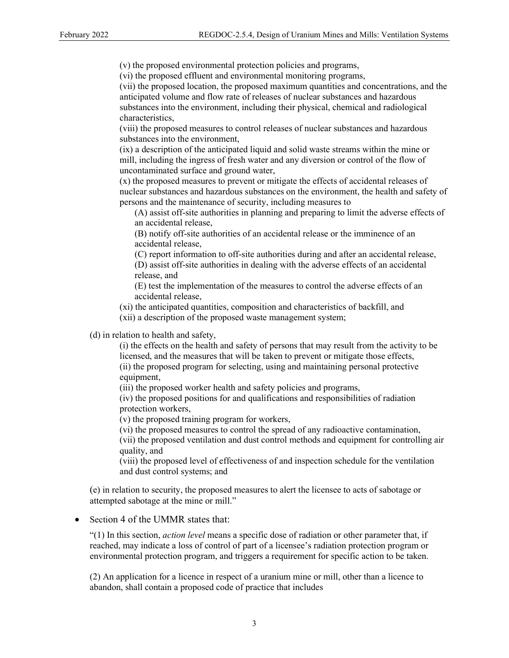(v) the proposed environmental protection policies and programs,

(vi) the proposed effluent and environmental monitoring programs,

(vii) the proposed location, the proposed maximum quantities and concentrations, and the anticipated volume and flow rate of releases of nuclear substances and hazardous substances into the environment, including their physical, chemical and radiological characteristics,

(viii) the proposed measures to control releases of nuclear substances and hazardous substances into the environment,

(ix) a description of the anticipated liquid and solid waste streams within the mine or mill, including the ingress of fresh water and any diversion or control of the flow of uncontaminated surface and ground water,

(x) the proposed measures to prevent or mitigate the effects of accidental releases of nuclear substances and hazardous substances on the environment, the health and safety of persons and the maintenance of security, including measures to

(A) assist off-site authorities in planning and preparing to limit the adverse effects of an accidental release,

(B) notify off-site authorities of an accidental release or the imminence of an accidental release,

(C) report information to off-site authorities during and after an accidental release,

(D) assist off-site authorities in dealing with the adverse effects of an accidental release, and

(E) test the implementation of the measures to control the adverse effects of an accidental release,

(xi) the anticipated quantities, composition and characteristics of backfill, and

(xii) a description of the proposed waste management system;

(d) in relation to health and safety,

(i) the effects on the health and safety of persons that may result from the activity to be licensed, and the measures that will be taken to prevent or mitigate those effects, (ii) the proposed program for selecting, using and maintaining personal protective equipment,

(iii) the proposed worker health and safety policies and programs,

(iv) the proposed positions for and qualifications and responsibilities of radiation protection workers,

(v) the proposed training program for workers,

(vi) the proposed measures to control the spread of any radioactive contamination,

(vii) the proposed ventilation and dust control methods and equipment for controlling air quality, and

(viii) the proposed level of effectiveness of and inspection schedule for the ventilation and dust control systems; and

(e) in relation to security, the proposed measures to alert the licensee to acts of sabotage or attempted sabotage at the mine or mill."

#### • Section 4 of the UMMR states that:

 $(1)$  In this section, *action level* means a specific dose of radiation or other parameter that, if reached, may indicate a loss of control of part of a licensee's radiation protection program or environmental protection program, and triggers a requirement for specific action to be taken.

(2) An application for a licence in respect of a uranium mine or mill, other than a licence to abandon, shall contain a proposed code of practice that includes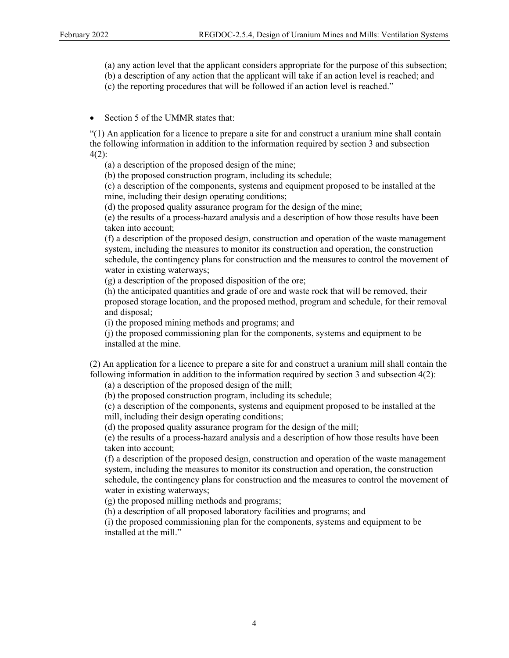- (a) any action level that the applicant considers appropriate for the purpose of this subsection;
- (b) a description of any action that the applicant will take if an action level is reached; and
- (c) the reporting procedures that will be followed if an action level is reached."
- Section 5 of the UMMR states that:

"(1) An application for a licence to prepare a site for and construct a uranium mine shall contain the following information in addition to the information required by section 3 and subsection 4(2):

(a) a description of the proposed design of the mine;

(b) the proposed construction program, including its schedule;

(c) a description of the components, systems and equipment proposed to be installed at the mine, including their design operating conditions;

(d) the proposed quality assurance program for the design of the mine;

(e) the results of a process-hazard analysis and a description of how those results have been taken into account;

(f) a description of the proposed design, construction and operation of the waste management system, including the measures to monitor its construction and operation, the construction schedule, the contingency plans for construction and the measures to control the movement of water in existing waterways;

(g) a description of the proposed disposition of the ore;

(h) the anticipated quantities and grade of ore and waste rock that will be removed, their proposed storage location, and the proposed method, program and schedule, for their removal and disposal;

(i) the proposed mining methods and programs; and

(j) the proposed commissioning plan for the components, systems and equipment to be installed at the mine.

(2) An application for a licence to prepare a site for and construct a uranium mill shall contain the following information in addition to the information required by section 3 and subsection 4(2):

(a) a description of the proposed design of the mill;

(b) the proposed construction program, including its schedule;

(c) a description of the components, systems and equipment proposed to be installed at the mill, including their design operating conditions;

(d) the proposed quality assurance program for the design of the mill;

(e) the results of a process-hazard analysis and a description of how those results have been taken into account;

(f) a description of the proposed design, construction and operation of the waste management system, including the measures to monitor its construction and operation, the construction schedule, the contingency plans for construction and the measures to control the movement of water in existing waterways;

(g) the proposed milling methods and programs;

(h) a description of all proposed laboratory facilities and programs; and

(i) the proposed commissioning plan for the components, systems and equipment to be installed at the mill."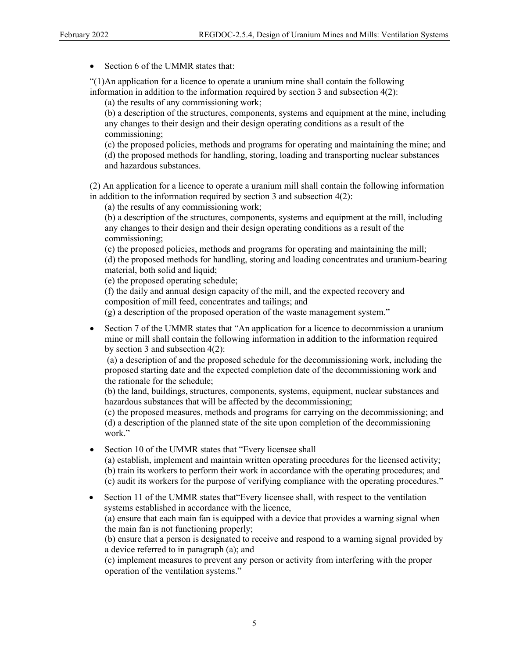• Section 6 of the UMMR states that:

"(1)An application for a licence to operate a uranium mine shall contain the following information in addition to the information required by section 3 and subsection  $4(2)$ :

(a) the results of any commissioning work;

(b) a description of the structures, components, systems and equipment at the mine, including any changes to their design and their design operating conditions as a result of the commissioning;

(c) the proposed policies, methods and programs for operating and maintaining the mine; and (d) the proposed methods for handling, storing, loading and transporting nuclear substances and hazardous substances.

(2) An application for a licence to operate a uranium mill shall contain the following information in addition to the information required by section 3 and subsection 4(2):

(a) the results of any commissioning work;

(b) a description of the structures, components, systems and equipment at the mill, including any changes to their design and their design operating conditions as a result of the commissioning;

(c) the proposed policies, methods and programs for operating and maintaining the mill; (d) the proposed methods for handling, storing and loading concentrates and uranium-bearing material, both solid and liquid;

(e) the proposed operating schedule;

(f) the daily and annual design capacity of the mill, and the expected recovery and composition of mill feed, concentrates and tailings; and

(g) a description of the proposed operation of the waste management system."

 Section 7 of the UMMR states that "An application for a licence to decommission a uranium mine or mill shall contain the following information in addition to the information required by section 3 and subsection 4(2):

 (a) a description of and the proposed schedule for the decommissioning work, including the proposed starting date and the expected completion date of the decommissioning work and the rationale for the schedule;

(b) the land, buildings, structures, components, systems, equipment, nuclear substances and hazardous substances that will be affected by the decommissioning;

(c) the proposed measures, methods and programs for carrying on the decommissioning; and (d) a description of the planned state of the site upon completion of the decommissioning work."

• Section 10 of the UMMR states that "Every licensee shall" (a) establish, implement and maintain written operating procedures for the licensed activity;

(b) train its workers to perform their work in accordance with the operating procedures; and (c) audit its workers for the purpose of verifying compliance with the operating procedures."

• Section 11 of the UMMR states that "Every licensee shall, with respect to the ventilation systems established in accordance with the licence, (a) ensure that each main fan is equipped with a device that provides a warning signal when the main fan is not functioning properly;

(b) ensure that a person is designated to receive and respond to a warning signal provided by a device referred to in paragraph (a); and

(c) implement measures to prevent any person or activity from interfering with the proper operation of the ventilation systems."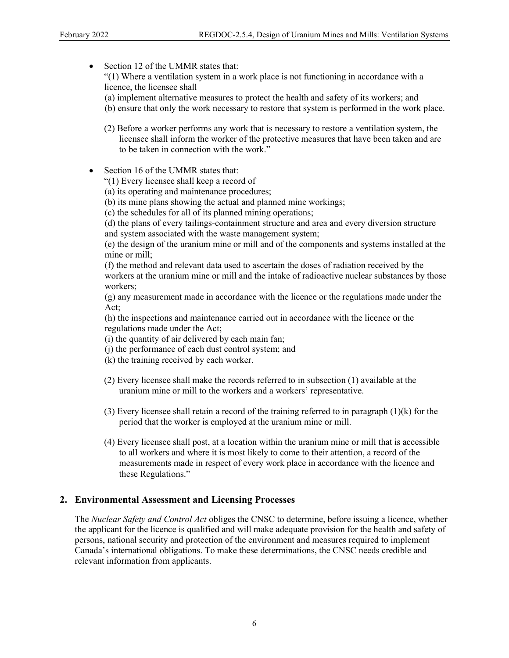• Section 12 of the UMMR states that: "(1) Where a ventilation system in a work place is not functioning in accordance with a licence, the licensee shall

- (a) implement alternative measures to protect the health and safety of its workers; and
- (b) ensure that only the work necessary to restore that system is performed in the work place.
- (2) Before a worker performs any work that is necessary to restore a ventilation system, the licensee shall inform the worker of the protective measures that have been taken and are to be taken in connection with the work."
- Section 16 of the UMMR states that:
	- "(1) Every licensee shall keep a record of
	- (a) its operating and maintenance procedures;
	- (b) its mine plans showing the actual and planned mine workings;
	- (c) the schedules for all of its planned mining operations;

(d) the plans of every tailings-containment structure and area and every diversion structure and system associated with the waste management system;

(e) the design of the uranium mine or mill and of the components and systems installed at the mine or mill;

(f) the method and relevant data used to ascertain the doses of radiation received by the workers at the uranium mine or mill and the intake of radioactive nuclear substances by those workers;

(g) any measurement made in accordance with the licence or the regulations made under the Act;

(h) the inspections and maintenance carried out in accordance with the licence or the regulations made under the Act;

- (i) the quantity of air delivered by each main fan;
- (j) the performance of each dust control system; and
- (k) the training received by each worker.
- (2) Every licensee shall make the records referred to in subsection (1) available at the uranium mine or mill to the workers and a workers' representative.
- (3) Every licensee shall retain a record of the training referred to in paragraph (1)(k) for the period that the worker is employed at the uranium mine or mill.
- (4) Every licensee shall post, at a location within the uranium mine or mill that is accessible to all workers and where it is most likely to come to their attention, a record of the measurements made in respect of every work place in accordance with the licence and these Regulations."

#### 2. Environmental Assessment and Licensing Processes

The *Nuclear Safety and Control Act* obliges the CNSC to determine, before issuing a licence, whether the applicant for the licence is qualified and will make adequate provision for the health and safety of persons, national security and protection of the environment and measures required to implement Canada's international obligations. To make these determinations, the CNSC needs credible and relevant information from applicants.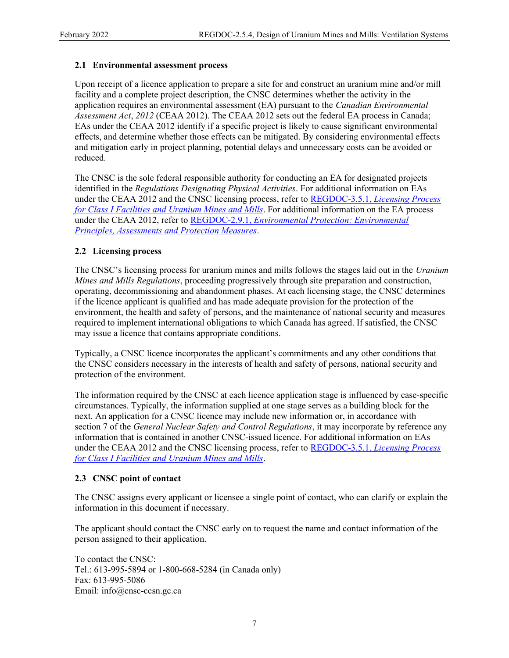#### 2.1 Environmental assessment process

Upon receipt of a licence application to prepare a site for and construct an uranium mine and/or mill facility and a complete project description, the CNSC determines whether the activity in the application requires an environmental assessment (EA) pursuant to the *Canadian Environmental* Assessment Act, 2012 (CEAA 2012). The CEAA 2012 sets out the federal EA process in Canada; EAs under the CEAA 2012 identify if a specific project is likely to cause significant environmental effects, and determine whether those effects can be mitigated. By considering environmental effects and mitigation early in project planning, potential delays and unnecessary costs can be avoided or reduced.

The CNSC is the sole federal responsible authority for conducting an EA for designated projects identified in the *Regulations Designating Physical Activities*. For additional information on EAs under the CEAA 2012 and the CNSC licensing process, refer to REGDOC-3.5.1, *Licensing Process* for Class I Facilities and Uranium Mines and Mills. For additional information on the EA process under the CEAA 2012, refer to REGDOC-2.9.1, *Environmental Protection: Environmental* Principles, Assessments and Protection Measures.

#### 2.2 Licensing process

The CNSC's licensing process for uranium mines and mills follows the stages laid out in the Uranium Mines and Mills Regulations, proceeding progressively through site preparation and construction, operating, decommissioning and abandonment phases. At each licensing stage, the CNSC determines if the licence applicant is qualified and has made adequate provision for the protection of the environment, the health and safety of persons, and the maintenance of national security and measures required to implement international obligations to which Canada has agreed. If satisfied, the CNSC may issue a licence that contains appropriate conditions.

Typically, a CNSC licence incorporates the applicant's commitments and any other conditions that the CNSC considers necessary in the interests of health and safety of persons, national security and protection of the environment.

The information required by the CNSC at each licence application stage is influenced by case-specific circumstances. Typically, the information supplied at one stage serves as a building block for the next. An application for a CNSC licence may include new information or, in accordance with section 7 of the *General Nuclear Safety and Control Regulations*, it may incorporate by reference any information that is contained in another CNSC-issued licence. For additional information on EAs under the CEAA 2012 and the CNSC licensing process, refer to REGDOC-3.5.1, *Licensing Process* for Class I Facilities and Uranium Mines and Mills.

#### 2.3 CNSC point of contact

The CNSC assigns every applicant or licensee a single point of contact, who can clarify or explain the information in this document if necessary.

The applicant should contact the CNSC early on to request the name and contact information of the person assigned to their application.

To contact the CNSC: Tel.: 613-995-5894 or 1-800-668-5284 (in Canada only) Fax: 613-995-5086 Email: info@cnsc-ccsn.gc.ca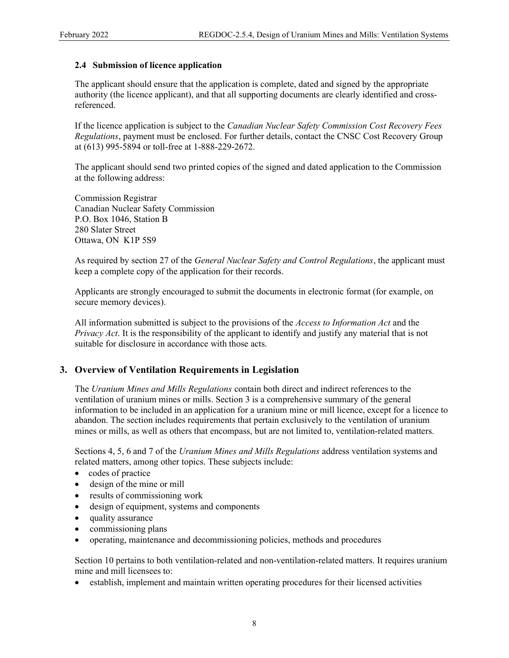#### 2.4 Submission of licence application

The applicant should ensure that the application is complete, dated and signed by the appropriate authority (the licence applicant), and that all supporting documents are clearly identified and crossreferenced.

If the licence application is subject to the *Canadian Nuclear Safety Commission Cost Recovery Fees* Regulations, payment must be enclosed. For further details, contact the CNSC Cost Recovery Group at (613) 995-5894 or toll-free at 1-888-229-2672.

The applicant should send two printed copies of the signed and dated application to the Commission at the following address:

Commission Registrar Canadian Nuclear Safety Commission P.O. Box 1046, Station B 280 Slater Street Ottawa, ON K1P 5S9

As required by section 27 of the *General Nuclear Safety and Control Regulations*, the applicant must keep a complete copy of the application for their records.

Applicants are strongly encouraged to submit the documents in electronic format (for example, on secure memory devices).

All information submitted is subject to the provisions of the *Access to Information Act* and the Privacy Act. It is the responsibility of the applicant to identify and justify any material that is not suitable for disclosure in accordance with those acts.

#### 3. Overview of Ventilation Requirements in Legislation

The Uranium Mines and Mills Regulations contain both direct and indirect references to the ventilation of uranium mines or mills. Section 3 is a comprehensive summary of the general information to be included in an application for a uranium mine or mill licence, except for a licence to abandon. The section includes requirements that pertain exclusively to the ventilation of uranium mines or mills, as well as others that encompass, but are not limited to, ventilation-related matters.

Sections 4, 5, 6 and 7 of the *Uranium Mines and Mills Regulations* address ventilation systems and related matters, among other topics. These subjects include:

- codes of practice
- design of the mine or mill
- results of commissioning work
- design of equipment, systems and components
- quality assurance
- commissioning plans
- operating, maintenance and decommissioning policies, methods and procedures

Section 10 pertains to both ventilation-related and non-ventilation-related matters. It requires uranium mine and mill licensees to:

establish, implement and maintain written operating procedures for their licensed activities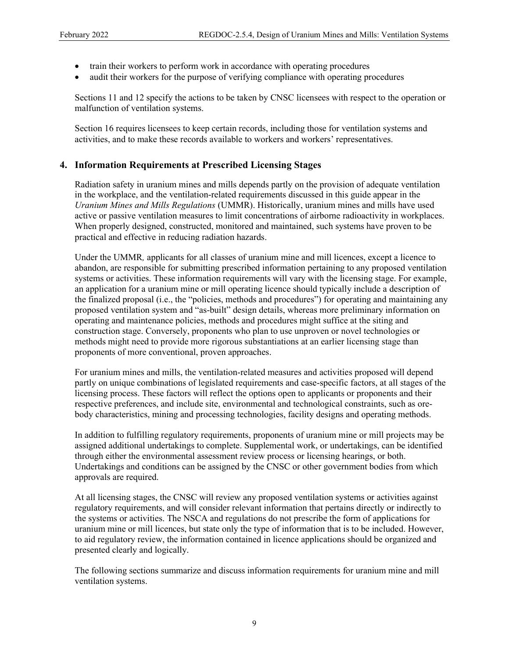- train their workers to perform work in accordance with operating procedures
- audit their workers for the purpose of verifying compliance with operating procedures

Sections 11 and 12 specify the actions to be taken by CNSC licensees with respect to the operation or malfunction of ventilation systems.

Section 16 requires licensees to keep certain records, including those for ventilation systems and activities, and to make these records available to workers and workers' representatives.

#### 4. Information Requirements at Prescribed Licensing Stages

Radiation safety in uranium mines and mills depends partly on the provision of adequate ventilation in the workplace, and the ventilation-related requirements discussed in this guide appear in the Uranium Mines and Mills Regulations (UMMR). Historically, uranium mines and mills have used active or passive ventilation measures to limit concentrations of airborne radioactivity in workplaces. When properly designed, constructed, monitored and maintained, such systems have proven to be practical and effective in reducing radiation hazards.

Under the UMMR, applicants for all classes of uranium mine and mill licences, except a licence to abandon, are responsible for submitting prescribed information pertaining to any proposed ventilation systems or activities. These information requirements will vary with the licensing stage. For example, an application for a uranium mine or mill operating licence should typically include a description of the finalized proposal (i.e., the "policies, methods and procedures") for operating and maintaining any proposed ventilation system and "as-built" design details, whereas more preliminary information on operating and maintenance policies, methods and procedures might suffice at the siting and construction stage. Conversely, proponents who plan to use unproven or novel technologies or methods might need to provide more rigorous substantiations at an earlier licensing stage than proponents of more conventional, proven approaches.

For uranium mines and mills, the ventilation-related measures and activities proposed will depend partly on unique combinations of legislated requirements and case-specific factors, at all stages of the licensing process. These factors will reflect the options open to applicants or proponents and their respective preferences, and include site, environmental and technological constraints, such as orebody characteristics, mining and processing technologies, facility designs and operating methods.

In addition to fulfilling regulatory requirements, proponents of uranium mine or mill projects may be assigned additional undertakings to complete. Supplemental work, or undertakings, can be identified through either the environmental assessment review process or licensing hearings, or both. Undertakings and conditions can be assigned by the CNSC or other government bodies from which approvals are required.

At all licensing stages, the CNSC will review any proposed ventilation systems or activities against regulatory requirements, and will consider relevant information that pertains directly or indirectly to the systems or activities. The NSCA and regulations do not prescribe the form of applications for uranium mine or mill licences, but state only the type of information that is to be included. However, to aid regulatory review, the information contained in licence applications should be organized and presented clearly and logically.

The following sections summarize and discuss information requirements for uranium mine and mill ventilation systems.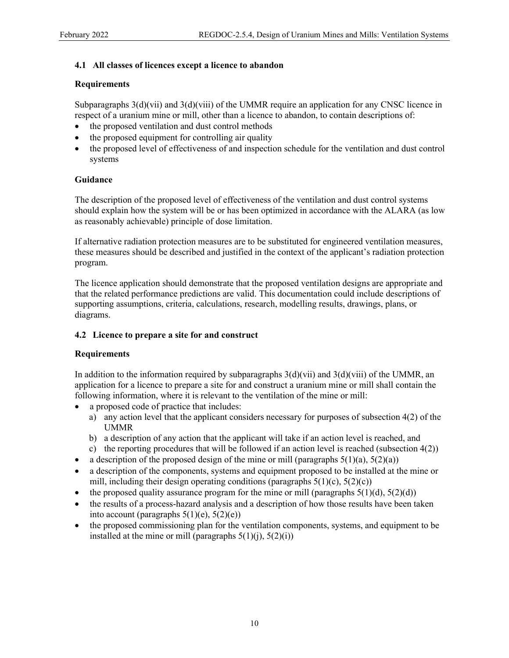#### 4.1 All classes of licences except a licence to abandon

#### **Requirements**

Subparagraphs 3(d)(vii) and 3(d)(viii) of the UMMR require an application for any CNSC licence in respect of a uranium mine or mill, other than a licence to abandon, to contain descriptions of:

- the proposed ventilation and dust control methods
- the proposed equipment for controlling air quality
- the proposed level of effectiveness of and inspection schedule for the ventilation and dust control systems

#### Guidance

The description of the proposed level of effectiveness of the ventilation and dust control systems should explain how the system will be or has been optimized in accordance with the ALARA (as low as reasonably achievable) principle of dose limitation.

If alternative radiation protection measures are to be substituted for engineered ventilation measures, these measures should be described and justified in the context of the applicant's radiation protection program.

The licence application should demonstrate that the proposed ventilation designs are appropriate and that the related performance predictions are valid. This documentation could include descriptions of supporting assumptions, criteria, calculations, research, modelling results, drawings, plans, or diagrams.

#### 4.2 Licence to prepare a site for and construct

#### Requirements

In addition to the information required by subparagraphs  $3(d)(vii)$  and  $3(d)(viii)$  of the UMMR, an application for a licence to prepare a site for and construct a uranium mine or mill shall contain the following information, where it is relevant to the ventilation of the mine or mill:

- a proposed code of practice that includes:
	- a) any action level that the applicant considers necessary for purposes of subsection 4(2) of the UMMR
	- b) a description of any action that the applicant will take if an action level is reached, and
	- c) the reporting procedures that will be followed if an action level is reached (subsection  $4(2)$ )
- a description of the proposed design of the mine or mill (paragraphs  $5(1)(a)$ ,  $5(2)(a)$ )
- a description of the components, systems and equipment proposed to be installed at the mine or mill, including their design operating conditions (paragraphs  $5(1)(c)$ ,  $5(2)(c)$ )
- the proposed quality assurance program for the mine or mill (paragraphs  $5(1)(d)$ ,  $5(2)(d)$ )
- the results of a process-hazard analysis and a description of how those results have been taken into account (paragraphs  $5(1)(e)$ ,  $5(2)(e)$ )
- the proposed commissioning plan for the ventilation components, systems, and equipment to be installed at the mine or mill (paragraphs  $5(1)(i)$ ,  $5(2)(i)$ )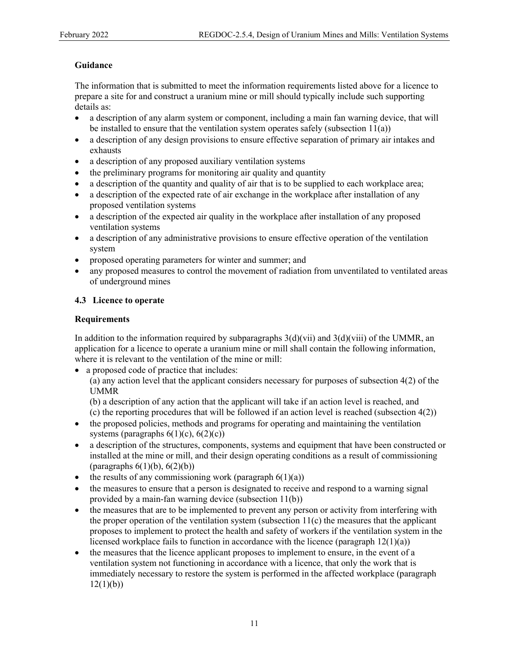#### Guidance

The information that is submitted to meet the information requirements listed above for a licence to prepare a site for and construct a uranium mine or mill should typically include such supporting details as:

- a description of any alarm system or component, including a main fan warning device, that will be installed to ensure that the ventilation system operates safely (subsection 11(a))
- a description of any design provisions to ensure effective separation of primary air intakes and exhausts
- a description of any proposed auxiliary ventilation systems
- the preliminary programs for monitoring air quality and quantity
- a description of the quantity and quality of air that is to be supplied to each workplace area;
- a description of the expected rate of air exchange in the workplace after installation of any proposed ventilation systems
- a description of the expected air quality in the workplace after installation of any proposed ventilation systems
- a description of any administrative provisions to ensure effective operation of the ventilation system
- proposed operating parameters for winter and summer; and
- any proposed measures to control the movement of radiation from unventilated to ventilated areas of underground mines

#### 4.3 Licence to operate

#### Requirements

In addition to the information required by subparagraphs  $3(d)(vii)$  and  $3(d)(viii)$  of the UMMR, an application for a licence to operate a uranium mine or mill shall contain the following information, where it is relevant to the ventilation of the mine or mill:

a proposed code of practice that includes:

(a) any action level that the applicant considers necessary for purposes of subsection 4(2) of the UMMR

(b) a description of any action that the applicant will take if an action level is reached, and (c) the reporting procedures that will be followed if an action level is reached (subsection  $4(2)$ )

- the proposed policies, methods and programs for operating and maintaining the ventilation systems (paragraphs  $6(1)(c)$ ,  $6(2)(c)$ )
- a description of the structures, components, systems and equipment that have been constructed or installed at the mine or mill, and their design operating conditions as a result of commissioning (paragraphs  $6(1)(b)$ ,  $6(2)(b)$ )
- the results of any commissioning work (paragraph  $6(1)(a)$ )
- the measures to ensure that a person is designated to receive and respond to a warning signal provided by a main-fan warning device (subsection 11(b))
- the measures that are to be implemented to prevent any person or activity from interfering with the proper operation of the ventilation system (subsection  $11(c)$ ) the measures that the applicant proposes to implement to protect the health and safety of workers if the ventilation system in the licensed workplace fails to function in accordance with the licence (paragraph  $12(1)(a)$ )
- the measures that the licence applicant proposes to implement to ensure, in the event of a ventilation system not functioning in accordance with a licence, that only the work that is immediately necessary to restore the system is performed in the affected workplace (paragraph  $12(1)(b)$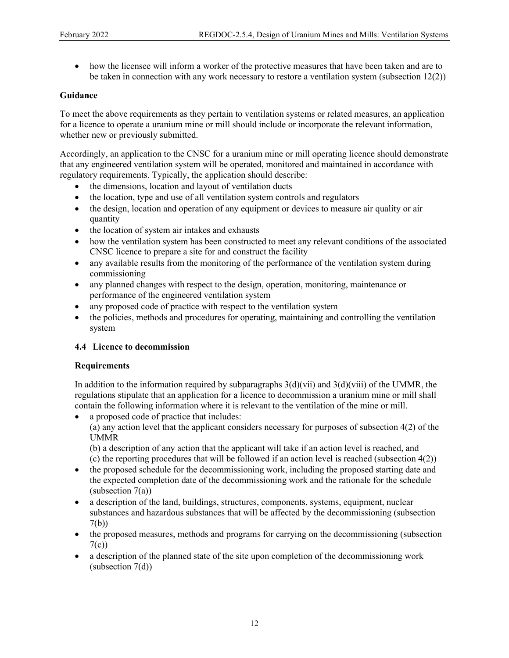how the licensee will inform a worker of the protective measures that have been taken and are to be taken in connection with any work necessary to restore a ventilation system (subsection 12(2))

#### Guidance

To meet the above requirements as they pertain to ventilation systems or related measures, an application for a licence to operate a uranium mine or mill should include or incorporate the relevant information, whether new or previously submitted.

Accordingly, an application to the CNSC for a uranium mine or mill operating licence should demonstrate that any engineered ventilation system will be operated, monitored and maintained in accordance with regulatory requirements. Typically, the application should describe:

- the dimensions, location and layout of ventilation ducts
- the location, type and use of all ventilation system controls and regulators
- the design, location and operation of any equipment or devices to measure air quality or air quantity
- the location of system air intakes and exhausts
- how the ventilation system has been constructed to meet any relevant conditions of the associated CNSC licence to prepare a site for and construct the facility
- any available results from the monitoring of the performance of the ventilation system during commissioning
- any planned changes with respect to the design, operation, monitoring, maintenance or performance of the engineered ventilation system
- any proposed code of practice with respect to the ventilation system
- the policies, methods and procedures for operating, maintaining and controlling the ventilation system

#### 4.4 Licence to decommission

#### Requirements

In addition to the information required by subparagraphs  $3(d)(vii)$  and  $3(d)(viii)$  of the UMMR, the regulations stipulate that an application for a licence to decommission a uranium mine or mill shall contain the following information where it is relevant to the ventilation of the mine or mill.

a proposed code of practice that includes:

(a) any action level that the applicant considers necessary for purposes of subsection 4(2) of the UMMR

(b) a description of any action that the applicant will take if an action level is reached, and (c) the reporting procedures that will be followed if an action level is reached (subsection  $4(2)$ )

- the proposed schedule for the decommissioning work, including the proposed starting date and the expected completion date of the decommissioning work and the rationale for the schedule (subsection 7(a))
- a description of the land, buildings, structures, components, systems, equipment, nuclear substances and hazardous substances that will be affected by the decommissioning (subsection 7(b))
- the proposed measures, methods and programs for carrying on the decommissioning (subsection  $7(c)$
- a description of the planned state of the site upon completion of the decommissioning work (subsection 7(d))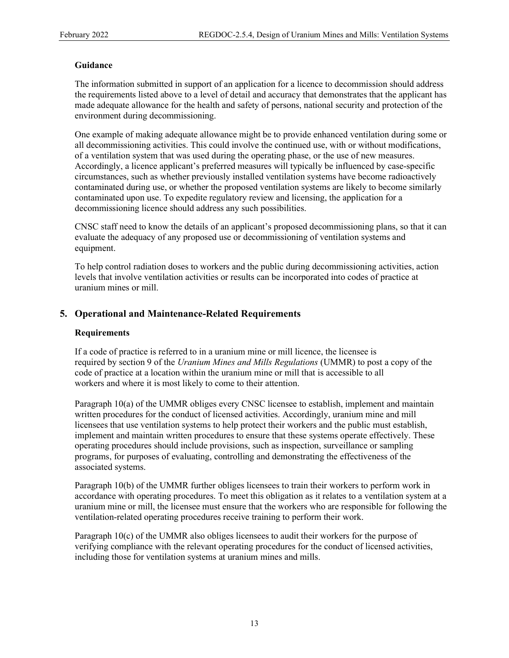#### Guidance

The information submitted in support of an application for a licence to decommission should address the requirements listed above to a level of detail and accuracy that demonstrates that the applicant has made adequate allowance for the health and safety of persons, national security and protection of the environment during decommissioning.

One example of making adequate allowance might be to provide enhanced ventilation during some or all decommissioning activities. This could involve the continued use, with or without modifications, of a ventilation system that was used during the operating phase, or the use of new measures. Accordingly, a licence applicant's preferred measures will typically be influenced by case-specific circumstances, such as whether previously installed ventilation systems have become radioactively contaminated during use, or whether the proposed ventilation systems are likely to become similarly contaminated upon use. To expedite regulatory review and licensing, the application for a decommissioning licence should address any such possibilities.

CNSC staff need to know the details of an applicant's proposed decommissioning plans, so that it can evaluate the adequacy of any proposed use or decommissioning of ventilation systems and equipment.

To help control radiation doses to workers and the public during decommissioning activities, action levels that involve ventilation activities or results can be incorporated into codes of practice at uranium mines or mill.

#### 5. Operational and Maintenance-Related Requirements

#### Requirements

If a code of practice is referred to in a uranium mine or mill licence, the licensee is required by section 9 of the *Uranium Mines and Mills Regulations* (UMMR) to post a copy of the code of practice at a location within the uranium mine or mill that is accessible to all workers and where it is most likely to come to their attention.

Paragraph 10(a) of the UMMR obliges every CNSC licensee to establish, implement and maintain written procedures for the conduct of licensed activities. Accordingly, uranium mine and mill licensees that use ventilation systems to help protect their workers and the public must establish, implement and maintain written procedures to ensure that these systems operate effectively. These operating procedures should include provisions, such as inspection, surveillance or sampling programs, for purposes of evaluating, controlling and demonstrating the effectiveness of the associated systems.

Paragraph 10(b) of the UMMR further obliges licensees to train their workers to perform work in accordance with operating procedures. To meet this obligation as it relates to a ventilation system at a uranium mine or mill, the licensee must ensure that the workers who are responsible for following the ventilation-related operating procedures receive training to perform their work.

Paragraph 10(c) of the UMMR also obliges licensees to audit their workers for the purpose of verifying compliance with the relevant operating procedures for the conduct of licensed activities, including those for ventilation systems at uranium mines and mills.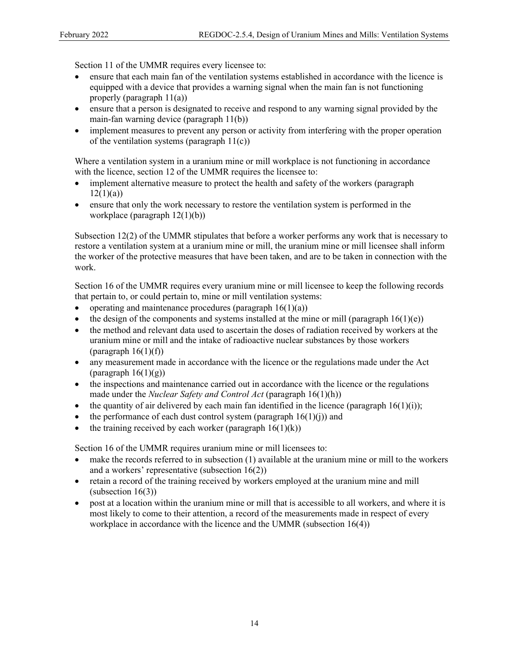Section 11 of the UMMR requires every licensee to:

- ensure that each main fan of the ventilation systems established in accordance with the licence is equipped with a device that provides a warning signal when the main fan is not functioning properly (paragraph 11(a))
- ensure that a person is designated to receive and respond to any warning signal provided by the main-fan warning device (paragraph 11(b))
- implement measures to prevent any person or activity from interfering with the proper operation of the ventilation systems (paragraph  $11(c)$ )

Where a ventilation system in a uranium mine or mill workplace is not functioning in accordance with the licence, section 12 of the UMMR requires the licensee to:

- implement alternative measure to protect the health and safety of the workers (paragraph  $12(1)(a)$
- ensure that only the work necessary to restore the ventilation system is performed in the workplace (paragraph 12(1)(b))

Subsection 12(2) of the UMMR stipulates that before a worker performs any work that is necessary to restore a ventilation system at a uranium mine or mill, the uranium mine or mill licensee shall inform the worker of the protective measures that have been taken, and are to be taken in connection with the work.

Section 16 of the UMMR requires every uranium mine or mill licensee to keep the following records that pertain to, or could pertain to, mine or mill ventilation systems:

- operating and maintenance procedures (paragraph  $16(1)(a)$ )
- the design of the components and systems installed at the mine or mill (paragraph  $16(1)(e)$ )
- the method and relevant data used to ascertain the doses of radiation received by workers at the uranium mine or mill and the intake of radioactive nuclear substances by those workers (paragraph  $16(1)(f)$ )
- any measurement made in accordance with the licence or the regulations made under the Act (paragraph  $16(1)(g)$ )
- the inspections and maintenance carried out in accordance with the licence or the regulations made under the *Nuclear Safety and Control Act* (paragraph  $16(1)(h)$ )
- the quantity of air delivered by each main fan identified in the licence (paragraph  $16(1)(i)$ );
- the performance of each dust control system (paragraph  $16(1)(i)$ ) and
- the training received by each worker (paragraph  $16(1)(k)$ )

Section 16 of the UMMR requires uranium mine or mill licensees to:

- make the records referred to in subsection (1) available at the uranium mine or mill to the workers and a workers' representative (subsection 16(2))
- retain a record of the training received by workers employed at the uranium mine and mill  $subsection 16(3)$
- post at a location within the uranium mine or mill that is accessible to all workers, and where it is most likely to come to their attention, a record of the measurements made in respect of every workplace in accordance with the licence and the UMMR (subsection 16(4))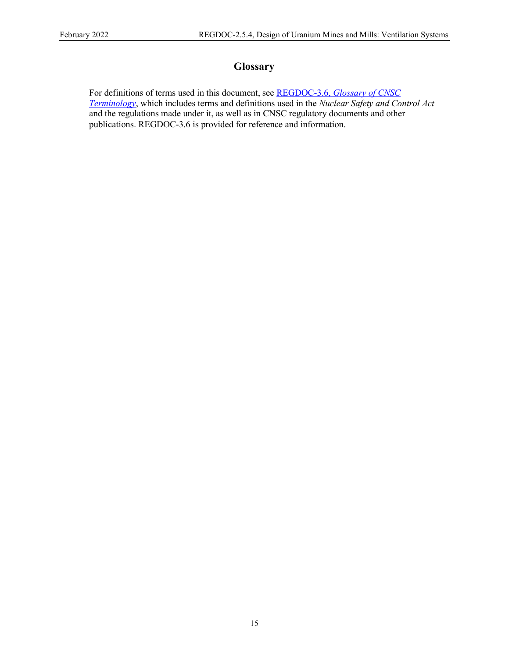## **Glossary**

For definitions of terms used in this document, see REGDOC-3.6, Glossary of CNSC Terminology, which includes terms and definitions used in the Nuclear Safety and Control Act and the regulations made under it, as well as in CNSC regulatory documents and other publications. REGDOC-3.6 is provided for reference and information.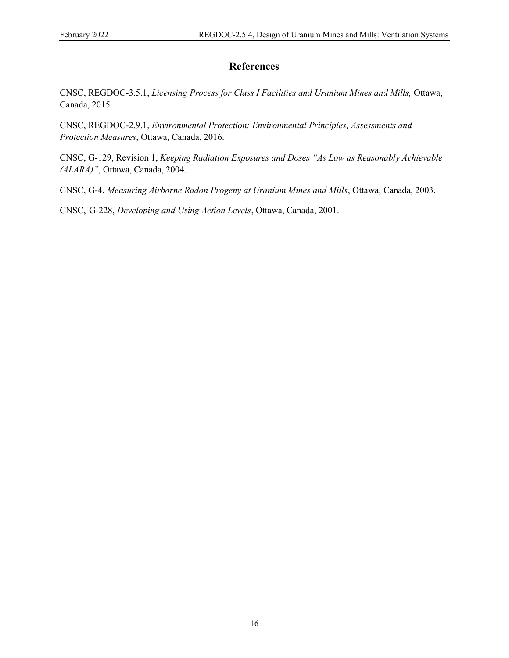# **References**

CNSC, REGDOC-3.5.1, Licensing Process for Class I Facilities and Uranium Mines and Mills, Ottawa, Canada, 2015.

CNSC, REGDOC-2.9.1, Environmental Protection: Environmental Principles, Assessments and Protection Measures, Ottawa, Canada, 2016.

CNSC, G-129, Revision 1, Keeping Radiation Exposures and Doses "As Low as Reasonably Achievable (ALARA)", Ottawa, Canada, 2004.

CNSC, G-4, Measuring Airborne Radon Progeny at Uranium Mines and Mills, Ottawa, Canada, 2003.

CNSC, G-228, Developing and Using Action Levels, Ottawa, Canada, 2001.